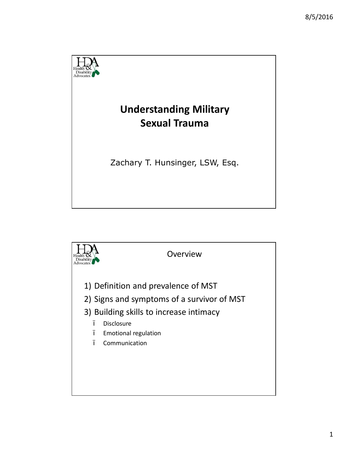

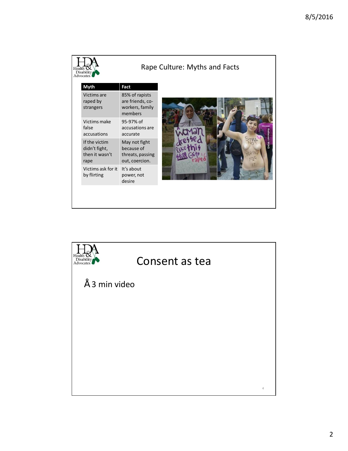| Health<br>Disability<br><b>Advocates</b> |                                                          |                                                                   | Rape Culture: Myths and Facts |
|------------------------------------------|----------------------------------------------------------|-------------------------------------------------------------------|-------------------------------|
|                                          | <b>Myth</b>                                              | Fact                                                              |                               |
|                                          | Victims are<br>raped by<br>strangers                     | 85% of rapists<br>are friends, co-<br>workers, family<br>members  |                               |
|                                          | Victims make<br>false<br>accusations                     | 95-97% of<br>accusations are<br>accurate                          |                               |
|                                          | If the victim<br>didn't fight,<br>then it wasn't<br>rape | May not fight<br>because of<br>threats, passing<br>out, coercion. |                               |
|                                          | Victims ask for it<br>by flirting                        | It's about<br>power, not<br>desire                                |                               |
|                                          |                                                          |                                                                   |                               |

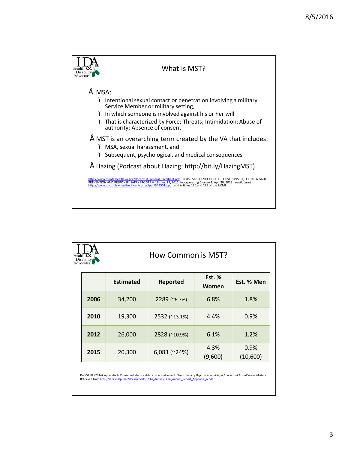

| Health<br>Disability<br><b>Advocates</b> | How Common is MST? |                |                   |                  |  |
|------------------------------------------|--------------------|----------------|-------------------|------------------|--|
|                                          | <b>Estimated</b>   | Reported       | Est. $%$<br>Women | Est. % Men       |  |
| 2006                                     | 34,200             | 2289 (~6.7%)   | 6.8%              | 1.8%             |  |
| 2010                                     | 19,300             | 2532 (~13.1%)  | 4.4%              | 0.9%             |  |
| 2012                                     | 26,000             | 2828 (~10.9%)  | 6.1%              | 1.2%             |  |
| 2015                                     | 20,300             | $6,083$ (~24%) | 4.3%<br>(9,600)   | 0.9%<br>(10,600) |  |
|                                          |                    |                |                   |                  |  |

DoD SAPR. (2014). Appendix A: Provisional statistical data on sexual assault. *Deportment of Defense Annuol Report on Sexual Assoult in the Militory.*<br>Retrieved from <u>http://sapr.mil/public/docs/reports/FY14\_Annual/FY14\_An</u>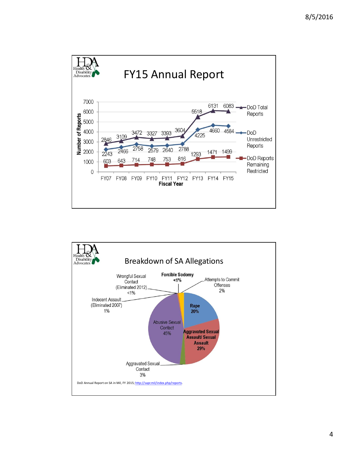

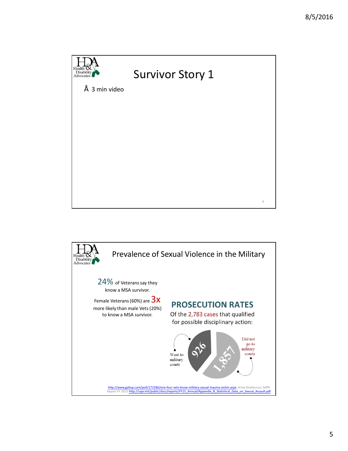

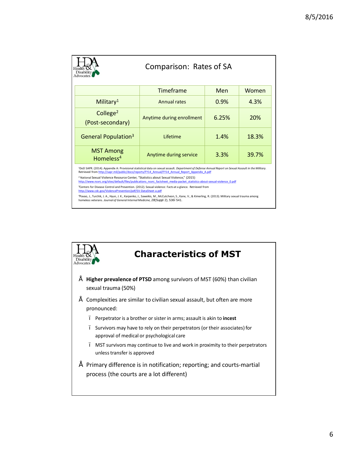| Comparison: Rates of SA<br>Disability<br>Advocates                                                                                                                                                                                                                                                                                                                                                                                                                                                                                                                                                                                                                                                                                                                                                                                                                                                                                       |                           |            |       |  |  |
|------------------------------------------------------------------------------------------------------------------------------------------------------------------------------------------------------------------------------------------------------------------------------------------------------------------------------------------------------------------------------------------------------------------------------------------------------------------------------------------------------------------------------------------------------------------------------------------------------------------------------------------------------------------------------------------------------------------------------------------------------------------------------------------------------------------------------------------------------------------------------------------------------------------------------------------|---------------------------|------------|-------|--|--|
|                                                                                                                                                                                                                                                                                                                                                                                                                                                                                                                                                                                                                                                                                                                                                                                                                                                                                                                                          | <b>Timeframe</b>          | <b>Men</b> | Women |  |  |
| Military <sup>1</sup>                                                                                                                                                                                                                                                                                                                                                                                                                                                                                                                                                                                                                                                                                                                                                                                                                                                                                                                    | <b>Annual rates</b>       | 0.9%       | 4.3%  |  |  |
| College <sup>2</sup><br>(Post-secondary)                                                                                                                                                                                                                                                                                                                                                                                                                                                                                                                                                                                                                                                                                                                                                                                                                                                                                                 | Anytime during enrollment | 6.25%      | 20%   |  |  |
| General Population <sup>3</sup>                                                                                                                                                                                                                                                                                                                                                                                                                                                                                                                                                                                                                                                                                                                                                                                                                                                                                                          | Lifetime                  | 1.4%       | 18.3% |  |  |
| <b>MST Among</b><br>Homeless <sup>4</sup>                                                                                                                                                                                                                                                                                                                                                                                                                                                                                                                                                                                                                                                                                                                                                                                                                                                                                                | Anytime during service    | 3.3%       | 39.7% |  |  |
| <sup>1</sup> DoD SAPR. (2014). Appendix A: Provisional statistical data on sexual assault. Department of Defense Annual Report on Sexual Assault in the Military.<br>Retrieved from http://sapr.mil/public/docs/reports/FY14 Annual/FY14 Annual Report Appendix A.pdf<br><sup>2</sup> National Sexual Violence Resource Center, "Statistics about Sexual Violence," (2015)<br>http://www.nsvrc.org/sites/default/files/publications nsvrc factsheet media-packet statistics-about-sexual-violence 0.pdf<br><sup>3</sup> Centers for Disease Control and Prevention. (2012). Sexual violence: Facts at a glance. Retrieved from<br>http://www.cdc.gov/ViolencePrevention/pdf/SV-DataSheet-a.pdf<br>4Pavao, J., Turchik, J. A., Hyun, J. K., Karpenko, J., Saweikis, M., McCutcheon, S., Kane, V., & Kimerling, R. (2013). Military sexual trauma among<br>homeless veterans. Journal of General Internal Medicine, 28(Suppl 2), 536. 541. |                           |            |       |  |  |

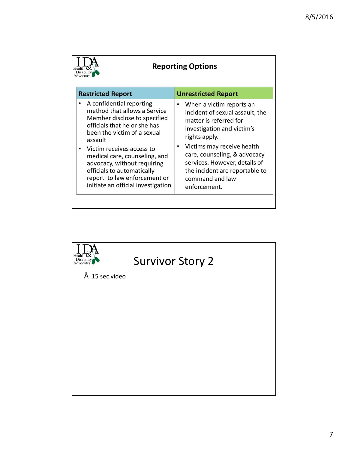| <b>Reporting Options</b>                                                                                                                                                                                                                                                                                                                                            |                                                                                                                                                                                                                                                                                                          |  |  |  |  |  |
|---------------------------------------------------------------------------------------------------------------------------------------------------------------------------------------------------------------------------------------------------------------------------------------------------------------------------------------------------------------------|----------------------------------------------------------------------------------------------------------------------------------------------------------------------------------------------------------------------------------------------------------------------------------------------------------|--|--|--|--|--|
| <b>Restricted Report</b>                                                                                                                                                                                                                                                                                                                                            | <b>Unrestricted Report</b>                                                                                                                                                                                                                                                                               |  |  |  |  |  |
| A confidential reporting<br>method that allows a Service<br>Member disclose to specified<br>officials that he or she has<br>been the victim of a sexual<br>assault<br>Victim receives access to<br>medical care, counseling, and<br>advocacy, without requiring<br>officials to automatically<br>report to law enforcement or<br>initiate an official investigation | When a victim reports an<br>incident of sexual assault, the<br>matter is referred for<br>investigation and victim's<br>rights apply.<br>Victims may receive health<br>care, counseling, & advocacy<br>services. However, details of<br>the incident are reportable to<br>command and law<br>enforcement. |  |  |  |  |  |

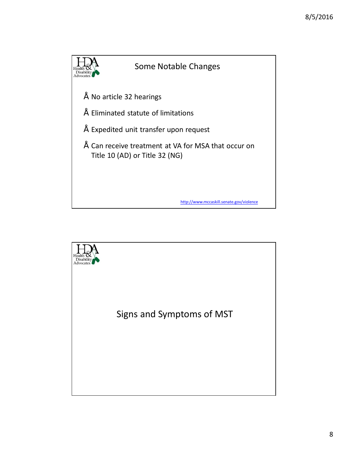

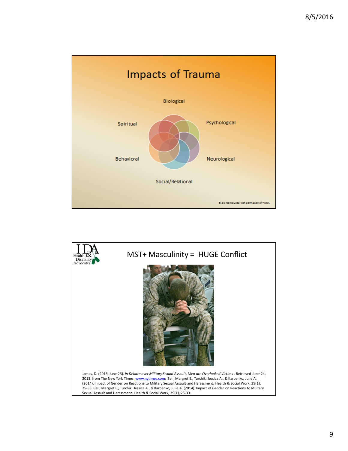

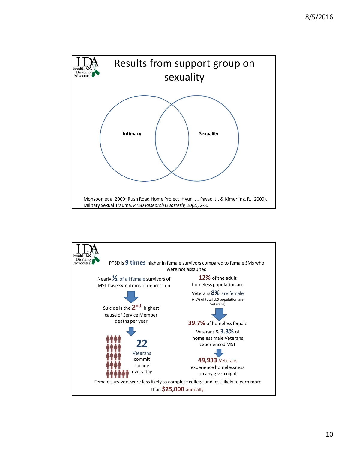

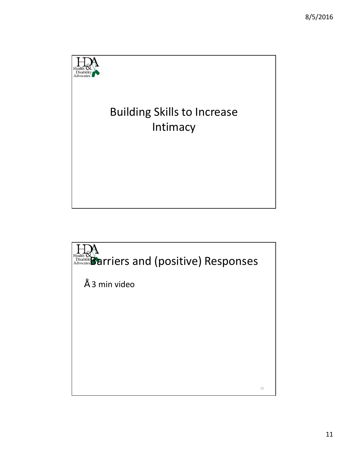

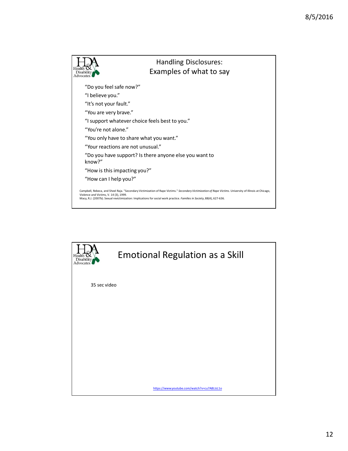

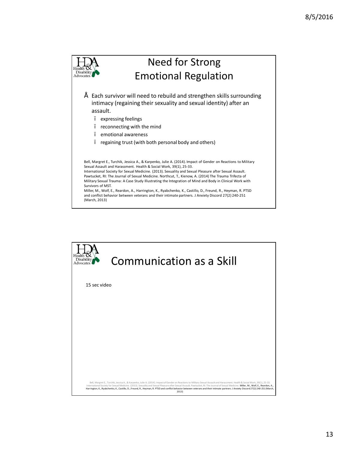

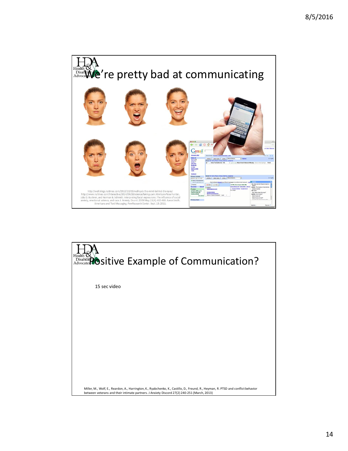

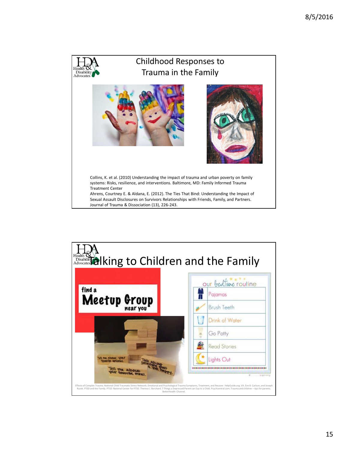

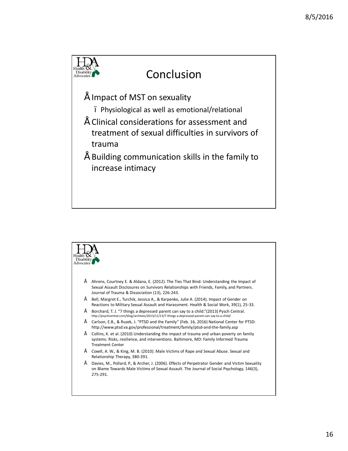